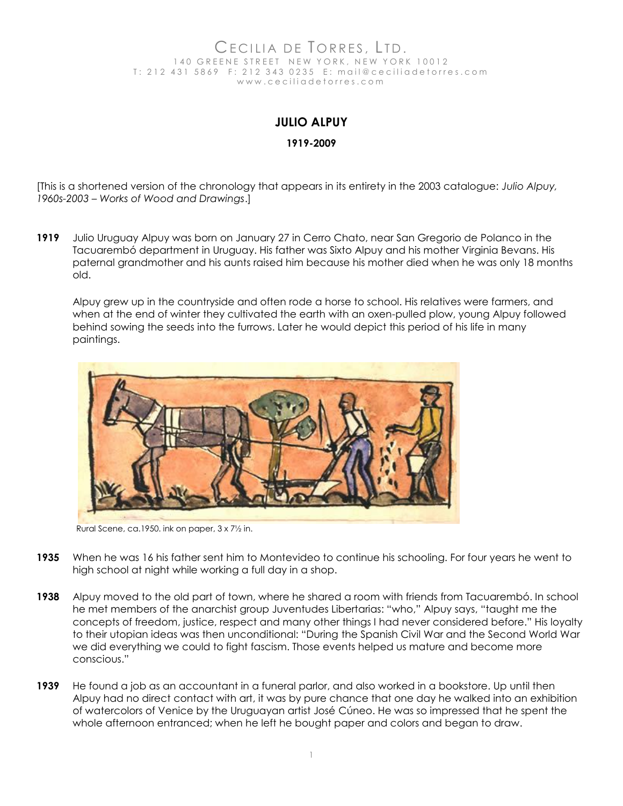## CECILIA DE TORRES, LTD.<br>140 GREENE STREET NEW YORK, NEW YORK STREET NEW YORK, NEW YORK 10012 T: 212 431 5869 F: 212 343 0235 E: mail@ceciliadetorres.com w w w . c e c i l i a d e t o r r e s . c o m

## **JULIO ALPUY**

## **1919-2009**

[This is a shortened version of the chronology that appears in its entirety in the 2003 catalogue: *Julio Alpuy, 1960s-2003 – Works of Wood and Drawings*.]

**1919** Julio Uruguay Alpuy was born on January 27 in Cerro Chato, near San Gregorio de Polanco in the Tacuarembó department in Uruguay. His father was Sixto Alpuy and his mother Virginia Bevans. His paternal grandmother and his aunts raised him because his mother died when he was only 18 months old.

Alpuy grew up in the countryside and often rode a horse to school. His relatives were farmers, and when at the end of winter they cultivated the earth with an oxen-pulled plow, young Alpuy followed behind sowing the seeds into the furrows. Later he would depict this period of his life in many paintings.



Rural Scene, ca.1950. ink on paper, 3 x 7½ in.

- **1935** When he was 16 his father sent him to Montevideo to continue his schooling. For four years he went to high school at night while working a full day in a shop.
- **1938** Alpuy moved to the old part of town, where he shared a room with friends from Tacuarembó. In school he met members of the anarchist group Juventudes Libertarias: "who," Alpuy says, "taught me the concepts of freedom, justice, respect and many other things I had never considered before." His loyalty to their utopian ideas was then unconditional: "During the Spanish Civil War and the Second World War we did everything we could to fight fascism. Those events helped us mature and become more conscious."
- **1939** He found a job as an accountant in a funeral parlor, and also worked in a bookstore. Up until then Alpuy had no direct contact with art, it was by pure chance that one day he walked into an exhibition of watercolors of Venice by the Uruguayan artist José Cúneo. He was so impressed that he spent the whole afternoon entranced; when he left he bought paper and colors and began to draw.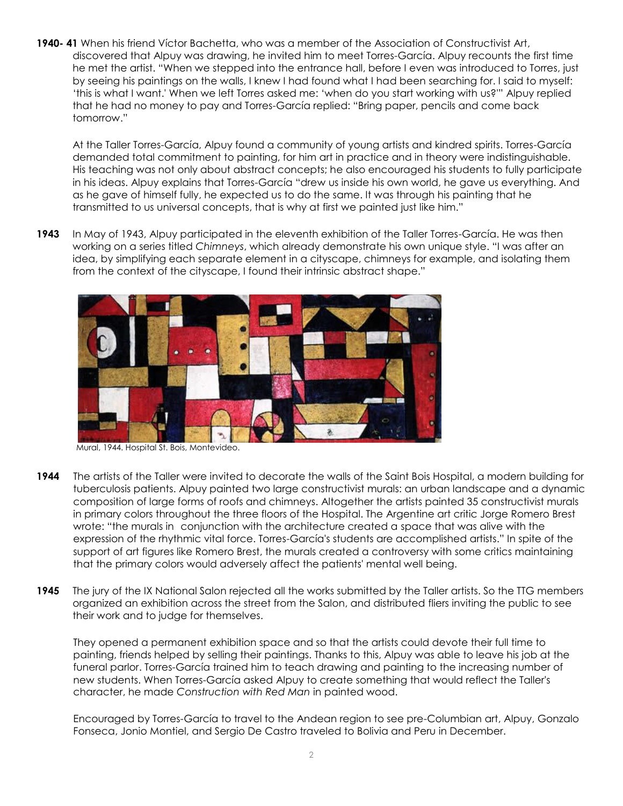**1940- 41** When his friend Víctor Bachetta, who was a member of the Association of Constructivist Art, discovered that Alpuy was drawing, he invited him to meet Torres-García. Alpuy recounts the first time he met the artist. "When we stepped into the entrance hall, before I even was introduced to Torres, just by seeing his paintings on the walls, I knew I had found what I had been searching for. I said to myself: 'this is what I want.' When we left Torres asked me: 'when do you start working with us?'" Alpuy replied that he had no money to pay and Torres-García replied: "Bring paper, pencils and come back tomorrow."

At the Taller Torres-García, Alpuy found a community of young artists and kindred spirits. Torres-García demanded total commitment to painting, for him art in practice and in theory were indistinguishable. His teaching was not only about abstract concepts; he also encouraged his students to fully participate in his ideas. Alpuy explains that Torres-García "drew us inside his own world, he gave us everything. And as he gave of himself fully, he expected us to do the same. It was through his painting that he transmitted to us universal concepts, that is why at first we painted just like him."

**1943** In May of 1943, Alpuy participated in the eleventh exhibition of the Taller Torres-García. He was then working on a series titled *Chimneys*, which already demonstrate his own unique style. "I was after an idea, by simplifying each separate element in a cityscape, chimneys for example, and isolating them from the context of the cityscape, I found their intrinsic abstract shape."



Mural, 1944. Hospital St. Bois, Montevideo.

- **1944** The artists of the Taller were invited to decorate the walls of the Saint Bois Hospital, a modern building for tuberculosis patients. Alpuy painted two large constructivist murals: an urban landscape and a dynamic composition of large forms of roofs and chimneys. Altogether the artists painted 35 constructivist murals in primary colors throughout the three floors of the Hospital. The Argentine art critic Jorge Romero Brest wrote: "the murals in conjunction with the architecture created a space that was alive with the expression of the rhythmic vital force. Torres-García's students are accomplished artists." In spite of the support of art figures like Romero Brest, the murals created a controversy with some critics maintaining that the primary colors would adversely affect the patients' mental well being.
- **1945** The jury of the IX National Salon rejected all the works submitted by the Taller artists. So the TTG members organized an exhibition across the street from the Salon, and distributed fliers inviting the public to see their work and to judge for themselves.

They opened a permanent exhibition space and so that the artists could devote their full time to painting, friends helped by selling their paintings. Thanks to this, Alpuy was able to leave his job at the funeral parlor. Torres-García trained him to teach drawing and painting to the increasing number of new students. When Torres-García asked Alpuy to create something that would reflect the Taller's character, he made *Construction with Red Man* in painted wood.

Encouraged by Torres-García to travel to the Andean region to see pre-Columbian art, Alpuy, Gonzalo Fonseca, Jonio Montiel, and Sergio De Castro traveled to Bolivia and Peru in December.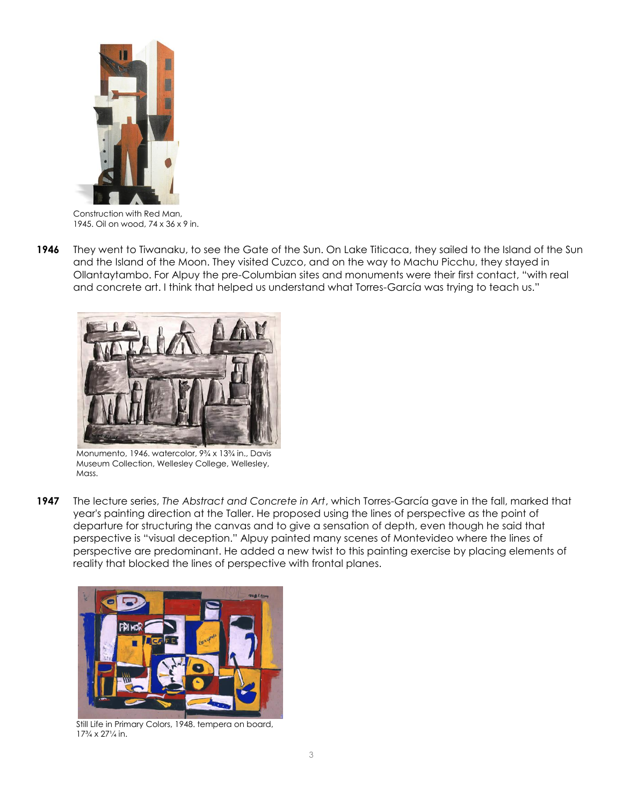

Construction with Red Man, 1945. Oil on wood, 74 x 36 x 9 in.

**1946** They went to Tiwanaku, to see the Gate of the Sun. On Lake Titicaca, they sailed to the Island of the Sun and the Island of the Moon. They visited Cuzco, and on the way to Machu Picchu, they stayed in Ollantaytambo. For Alpuy the pre-Columbian sites and monuments were their first contact, "with real and concrete art. I think that helped us understand what Torres-García was trying to teach us."



Monumento, 1946. watercolor, 9¾ x 13¾ in., Davis Museum Collection, Wellesley College, Wellesley, Mass.

**1947** The lecture series, *The Abstract and Concrete in Art*, which Torres-García gave in the fall, marked that year's painting direction at the Taller. He proposed using the lines of perspective as the point of departure for structuring the canvas and to give a sensation of depth, even though he said that perspective is "visual deception." Alpuy painted many scenes of Montevideo where the lines of perspective are predominant. He added a new twist to this painting exercise by placing elements of reality that blocked the lines of perspective with frontal planes.



Still Life in Primary Colors, 1948. tempera on board, 17¾ x 27¼ in.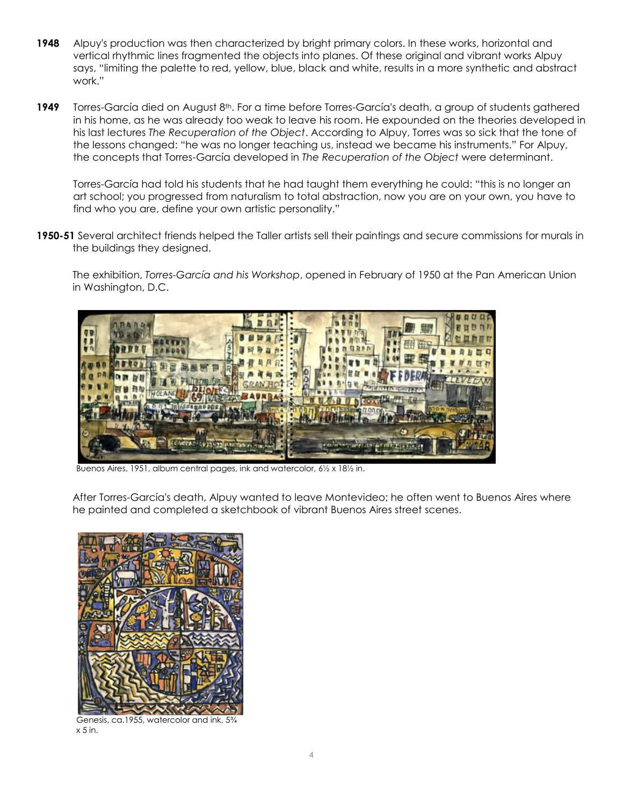- **1948** Alpuy's production was then characterized by bright primary colors. In these works, horizontal and vertical rhythmic lines fragmented the objects into planes. Of these original and vibrant works Alpuy says, "limiting the palette to red, yellow, blue, black and white, results in a more synthetic and abstract work."
- 1949 Torres-García died on August 8<sup>th</sup>. For a time before Torres-García's death, a group of students gathered in his home, as he was already too weak to leave his room. He expounded on the theories developed in his last lectures *The Recuperation of the Object*. According to Alpuy, Torres was so sick that the tone of the lessons changed: "he was no longer teaching us, instead we became his instruments." For Alpuy, the concepts that Torres-García developed in *The Recuperation of the Object* were determinant.

Torres-García had told his students that he had taught them everything he could: "this is no longer an art school; you progressed from naturalism to total abstraction, now you are on your own, you have to find who you are, define your own artistic personality."

**1950-51** Several architect friends helped the Taller artists sell their paintings and secure commissions for murals in the buildings they designed.

The exhibition, *Torres-García and his Workshop*, opened in February of 1950 at the Pan American Union in Washington, D.C.



Buenos Aires, 1951, album central pages, ink and watercolor, 6½ x 18½ in.

After Torres-García's death, Alpuy wanted to leave Montevideo; he often went to Buenos Aires where he painted and completed a sketchbook of vibrant Buenos Aires street scenes.



Genesis, ca.1955, watercolor and ink, 5¾  $x 5$  in.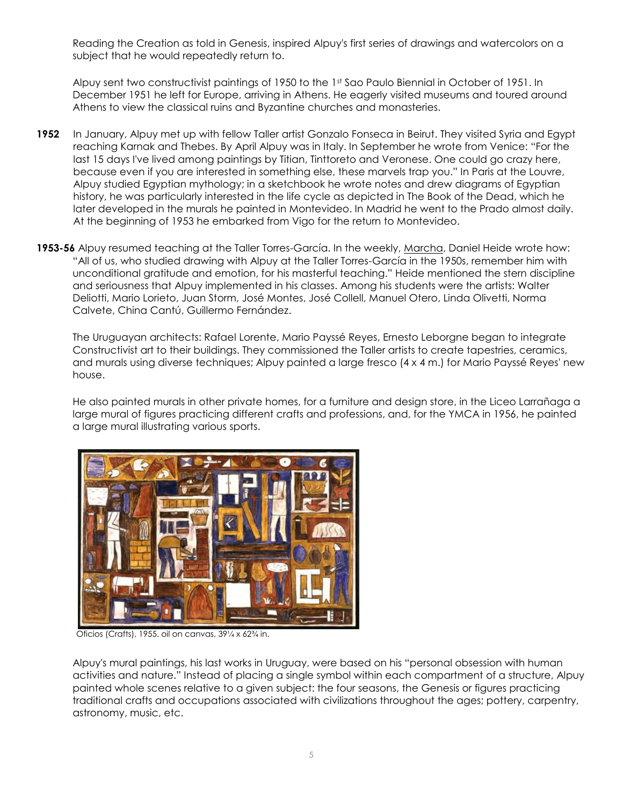Reading the Creation as told in Genesis, inspired Alpuy's first series of drawings and watercolors on a subject that he would repeatedly return to.

Alpuy sent two constructivist paintings of 1950 to the 1st Sao Paulo Biennial in October of 1951. In December 1951 he left for Europe, arriving in Athens. He eagerly visited museums and toured around Athens to view the classical ruins and Byzantine churches and monasteries.

- **1952** In January, Alpuy met up with fellow Taller artist Gonzalo Fonseca in Beirut. They visited Syria and Egypt reaching Karnak and Thebes. By April Alpuy was in Italy. In September he wrote from Venice: "For the last 15 days I've lived among paintings by Titian, Tinttoreto and Veronese. One could go crazy here, because even if you are interested in something else, these marvels trap you." In Paris at the Louvre, Alpuy studied Egyptian mythology; in a sketchbook he wrote notes and drew diagrams of Egyptian history, he was particularly interested in the life cycle as depicted in The Book of the Dead, which he later developed in the murals he painted in Montevideo. In Madrid he went to the Prado almost daily. At the beginning of 1953 he embarked from Vigo for the return to Montevideo.
- **1953-56** Alpuy resumed teaching at the Taller Torres-García. In the weekly, Marcha, Daniel Heide wrote how: "All of us, who studied drawing with Alpuy at the Taller Torres-García in the 1950s, remember him with unconditional gratitude and emotion, for his masterful teaching." Heide mentioned the stern discipline and seriousness that Alpuy implemented in his classes. Among his students were the artists: Walter Deliotti, Mario Lorieto, Juan Storm, José Montes, José Collell, Manuel Otero, Linda Olivetti, Norma Calvete, China Cantú, Guillermo Fernández.

The Uruguayan architects: Rafael Lorente, Mario Payssé Reyes, Ernesto Leborgne began to integrate Constructivist art to their buildings. They commissioned the Taller artists to create tapestries, ceramics, and murals using diverse techniques; Alpuy painted a large fresco (4 x 4 m.) for Mario Payssé Reyes' new house.

He also painted murals in other private homes, for a furniture and design store, in the Liceo Larrañaga a large mural of figures practicing different crafts and professions, and, for the YMCA in 1956, he painted a large mural illustrating various sports.



Oficios (Crafts), 1955. oil on canvas, 39¼ x 62¾ in.

Alpuy's mural paintings, his last works in Uruguay, were based on his "personal obsession with human activities and nature." Instead of placing a single symbol within each compartment of a structure, Alpuy painted whole scenes relative to a given subject: the four seasons, the Genesis or figures practicing traditional crafts and occupations associated with civilizations throughout the ages; pottery, carpentry, astronomy, music, etc.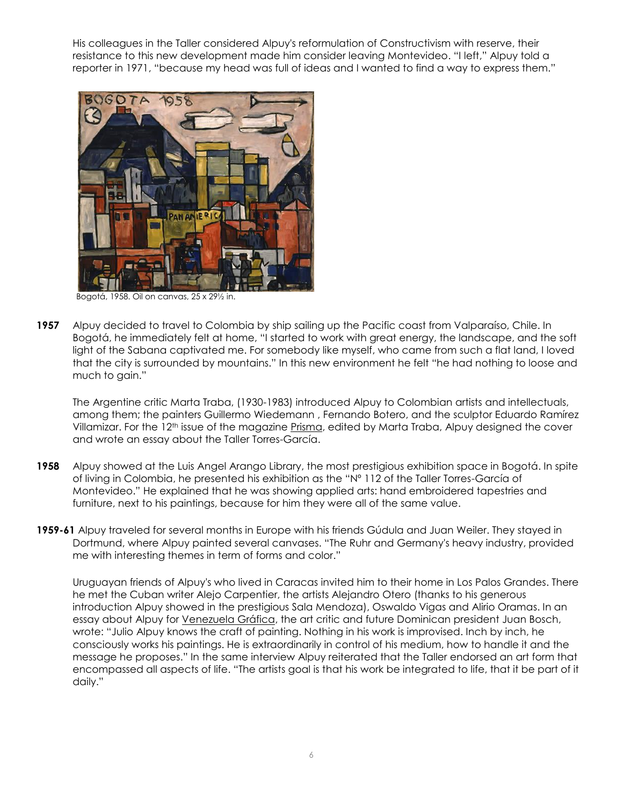His colleagues in the Taller considered Alpuy's reformulation of Constructivism with reserve, their resistance to this new development made him consider leaving Montevideo. "I left," Alpuy told a reporter in 1971, "because my head was full of ideas and I wanted to find a way to express them."



Bogotá, 1958. Oil on canvas, 25 x 29½ in.

**1957** Alpuy decided to travel to Colombia by ship sailing up the Pacific coast from Valparaíso, Chile. In Bogotá, he immediately felt at home, "I started to work with great energy, the landscape, and the soft light of the Sabana captivated me. For somebody like myself, who came from such a flat land, I loved that the city is surrounded by mountains." In this new environment he felt "he had nothing to loose and much to gain."

The Argentine critic Marta Traba, (1930-1983) introduced Alpuy to Colombian artists and intellectuals, among them; the painters Guillermo Wiedemann , Fernando Botero, and the sculptor Eduardo Ramírez Villamizar. For the 12<sup>th</sup> issue of the magazine Prisma, edited by Marta Traba, Alpuy designed the cover and wrote an essay about the Taller Torres-García.

- **1958** Alpuy showed at the Luis Angel Arango Library, the most prestigious exhibition space in Bogotá. In spite of living in Colombia, he presented his exhibition as the "Nº 112 of the Taller Torres-García of Montevideo." He explained that he was showing applied arts: hand embroidered tapestries and furniture, next to his paintings, because for him they were all of the same value.
- **1959-61** Alpuy traveled for several months in Europe with his friends Gúdula and Juan Weiler. They stayed in Dortmund, where Alpuy painted several canvases. "The Ruhr and Germany's heavy industry, provided me with interesting themes in term of forms and color."

Uruguayan friends of Alpuy's who lived in Caracas invited him to their home in Los Palos Grandes. There he met the Cuban writer Alejo Carpentier, the artists Alejandro Otero (thanks to his generous introduction Alpuy showed in the prestigious Sala Mendoza), Oswaldo Vigas and Alirio Oramas. In an essay about Alpuy for Venezuela Gráfica, the art critic and future Dominican president Juan Bosch, wrote: "Julio Alpuy knows the craft of painting. Nothing in his work is improvised. Inch by inch, he consciously works his paintings. He is extraordinarily in control of his medium, how to handle it and the message he proposes." In the same interview Alpuy reiterated that the Taller endorsed an art form that encompassed all aspects of life. "The artists goal is that his work be integrated to life, that it be part of it daily."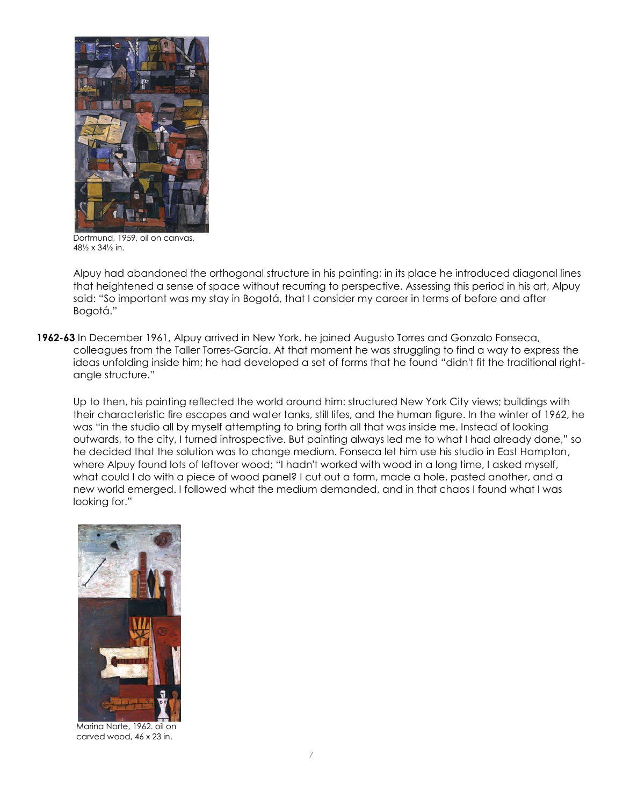

Dortmund, 1959, oil on canvas, 48½ x 34½ in.

Alpuy had abandoned the orthogonal structure in his painting; in its place he introduced diagonal lines that heightened a sense of space without recurring to perspective. Assessing this period in his art, Alpuy said: "So important was my stay in Bogotá, that I consider my career in terms of before and after Bogotá."

**1962-63** In December 1961, Alpuy arrived in New York, he joined Augusto Torres and Gonzalo Fonseca, colleagues from the Taller Torres-García. At that moment he was struggling to find a way to express the ideas unfolding inside him; he had developed a set of forms that he found "didn't fit the traditional rightangle structure."

Up to then, his painting reflected the world around him: structured New York City views; buildings with their characteristic fire escapes and water tanks, still lifes, and the human figure. In the winter of 1962, he was "in the studio all by myself attempting to bring forth all that was inside me. Instead of looking outwards, to the city, I turned introspective. But painting always led me to what I had already done," so he decided that the solution was to change medium. Fonseca let him use his studio in East Hampton, where Alpuy found lots of leftover wood; "I hadn't worked with wood in a long time, I asked myself, what could I do with a piece of wood panel? I cut out a form, made a hole, pasted another, and a new world emerged. I followed what the medium demanded, and in that chaos I found what I was looking for."



Marina Norte, 1962. oil on carved wood, 46 x 23 in.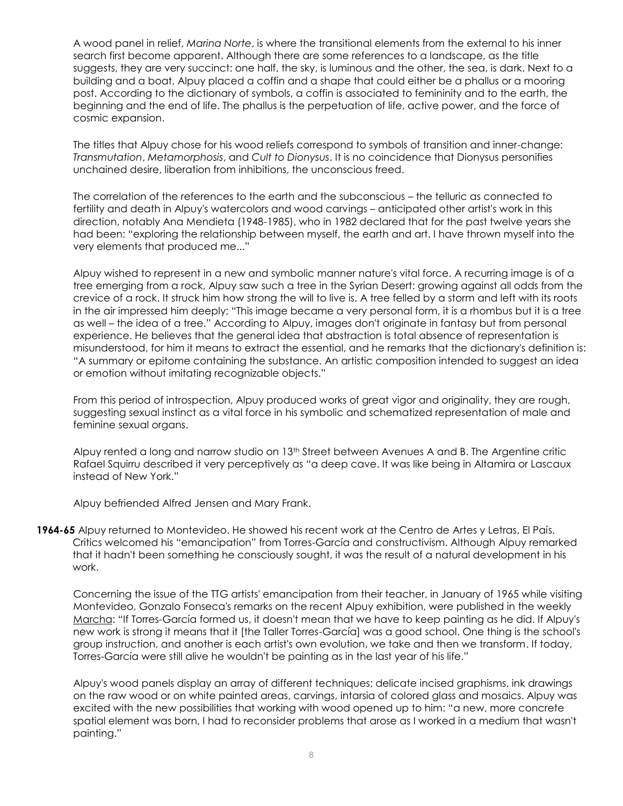A wood panel in relief, *Marina Norte*, is where the transitional elements from the external to his inner search first become apparent. Although there are some references to a landscape, as the title suggests, they are very succinct: one half, the sky, is luminous and the other, the sea, is dark. Next to a building and a boat, Alpuy placed a coffin and a shape that could either be a phallus or a mooring post. According to the dictionary of symbols, a coffin is associated to femininity and to the earth, the beginning and the end of life. The phallus is the perpetuation of life, active power, and the force of cosmic expansion.

The titles that Alpuy chose for his wood reliefs correspond to symbols of transition and inner-change: *Transmutation*, *Metamorphosis*, and *Cult to Dionysus*. It is no coincidence that Dionysus personifies unchained desire, liberation from inhibitions, the unconscious freed.

The correlation of the references to the earth and the subconscious – the telluric as connected to fertility and death in Alpuy's watercolors and wood carvings – anticipated other artist's work in this direction, notably Ana Mendieta (1948-1985), who in 1982 declared that for the past twelve years she had been: "exploring the relationship between myself, the earth and art. I have thrown myself into the very elements that produced me..."

Alpuy wished to represent in a new and symbolic manner nature's vital force. A recurring image is of a tree emerging from a rock, Alpuy saw such a tree in the Syrian Desert: growing against all odds from the crevice of a rock. It struck him how strong the will to live is. A tree felled by a storm and left with its roots in the air impressed him deeply; "This image became a very personal form, it is a rhombus but it is a tree as well – the idea of a tree." According to Alpuy, images don't originate in fantasy but from personal experience. He believes that the general idea that abstraction is total absence of representation is misunderstood, for him it means to extract the essential, and he remarks that the dictionary's definition is: "A summary or epitome containing the substance. An artistic composition intended to suggest an idea or emotion without imitating recognizable objects."

From this period of introspection, Alpuy produced works of great vigor and originality, they are rough, suggesting sexual instinct as a vital force in his symbolic and schematized representation of male and feminine sexual organs.

Alpuy rented a long and narrow studio on 13<sup>th</sup> Street between Avenues A and B. The Argentine critic Rafael Squirru described it very perceptively as "a deep cave. It was like being in Altamira or Lascaux instead of New York."

Alpuy befriended Alfred Jensen and Mary Frank.

**1964-65** Alpuy returned to Montevideo. He showed his recent work at the Centro de Artes y Letras, El País. Critics welcomed his "emancipation" from Torres-García and constructivism. Although Alpuy remarked that it hadn't been something he consciously sought, it was the result of a natural development in his work.

Concerning the issue of the TTG artists' emancipation from their teacher, in January of 1965 while visiting Montevideo, Gonzalo Fonseca's remarks on the recent Alpuy exhibition, were published in the weekly Marcha: "If Torres-García formed us, it doesn't mean that we have to keep painting as he did. If Alpuy's new work is strong it means that it [the Taller Torres-García] was a good school. One thing is the school's group instruction, and another is each artist's own evolution, we take and then we transform. If today, Torres-García were still alive he wouldn't be painting as in the last year of his life."

Alpuy's wood panels display an array of different techniques; delicate incised graphisms, ink drawings on the raw wood or on white painted areas, carvings, intarsia of colored glass and mosaics. Alpuy was excited with the new possibilities that working with wood opened up to him: "a new, more concrete spatial element was born, I had to reconsider problems that arose as I worked in a medium that wasn't painting."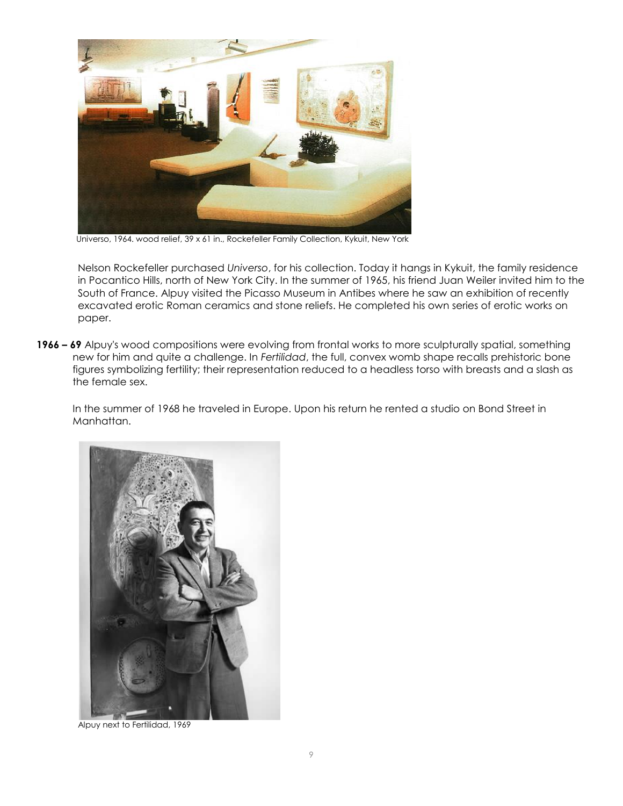

Universo, 1964. wood relief, 39 x 61 in., Rockefeller Family Collection, Kykuit, New York

Nelson Rockefeller purchased *Universo*, for his collection. Today it hangs in Kykuit, the family residence in Pocantico Hills, north of New York City. In the summer of 1965, his friend Juan Weiler invited him to the South of France. Alpuy visited the Picasso Museum in Antibes where he saw an exhibition of recently excavated erotic Roman ceramics and stone reliefs. He completed his own series of erotic works on paper.

**1966 – 69** Alpuy's wood compositions were evolving from frontal works to more sculpturally spatial, something new for him and quite a challenge. In *Fertilidad*, the full, convex womb shape recalls prehistoric bone figures symbolizing fertility; their representation reduced to a headless torso with breasts and a slash as the female sex.

In the summer of 1968 he traveled in Europe. Upon his return he rented a studio on Bond Street in Manhattan.



Alpuy next to Fertilidad, 1969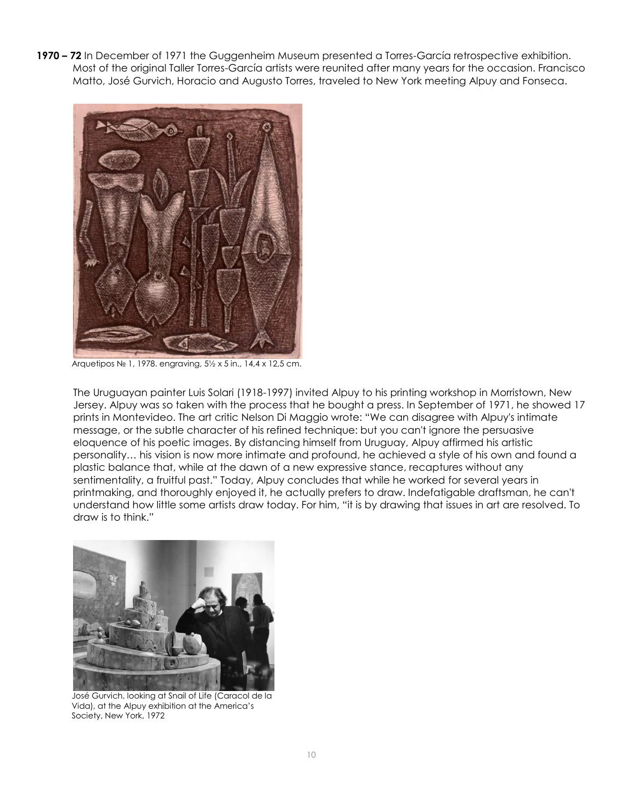**1970 – 72** In December of 1971 the Guggenheim Museum presented a Torres-García retrospective exhibition. Most of the original Taller Torres-García artists were reunited after many years for the occasion. Francisco Matto, José Gurvich, Horacio and Augusto Torres, traveled to New York meeting Alpuy and Fonseca.



Arquetipos № 1, 1978. engraving, 5½ x 5 in., 14,4 x 12,5 cm.

The Uruguayan painter Luis Solari (1918-1997) invited Alpuy to his printing workshop in Morristown, New Jersey. Alpuy was so taken with the process that he bought a press. In September of 1971, he showed 17 prints in Montevideo. The art critic Nelson Di Maggio wrote: "We can disagree with Alpuy's intimate message, or the subtle character of his refined technique: but you can't ignore the persuasive eloquence of his poetic images. By distancing himself from Uruguay, Alpuy affirmed his artistic personality… his vision is now more intimate and profound, he achieved a style of his own and found a plastic balance that, while at the dawn of a new expressive stance, recaptures without any sentimentality, a fruitful past." Today, Alpuy concludes that while he worked for several years in printmaking, and thoroughly enjoyed it, he actually prefers to draw. Indefatigable draftsman, he can't understand how little some artists draw today. For him, "it is by drawing that issues in art are resolved. To draw is to think."



José Gurvich, looking at Snail of Life (Caracol de la Vida), at the Alpuy exhibition at the America's Society, New York, 1972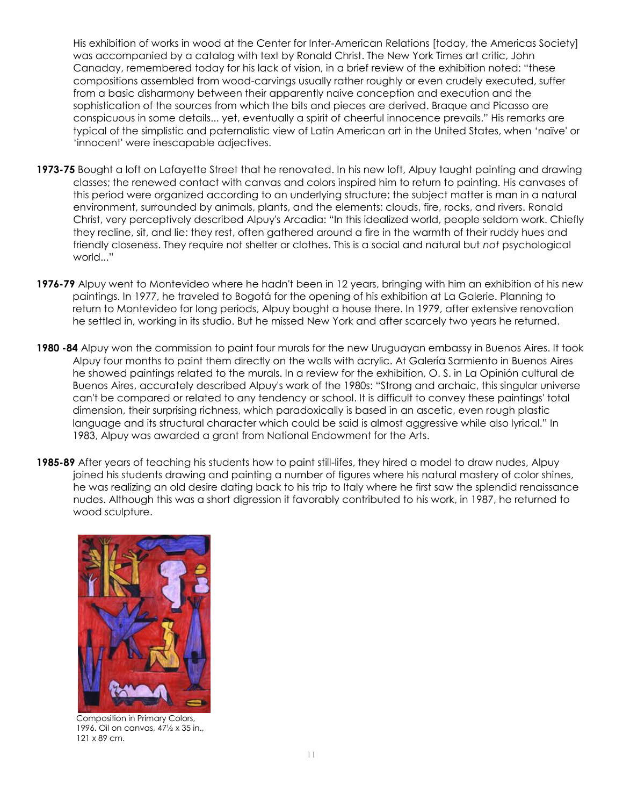His exhibition of works in wood at the Center for Inter-American Relations [today, the Americas Society] was accompanied by a catalog with text by Ronald Christ. The New York Times art critic, John Canaday, remembered today for his lack of vision, in a brief review of the exhibition noted: "these compositions assembled from wood-carvings usually rather roughly or even crudely executed, suffer from a basic disharmony between their apparently naive conception and execution and the sophistication of the sources from which the bits and pieces are derived. Braque and Picasso are conspicuous in some details... yet, eventually a spirit of cheerful innocence prevails." His remarks are typical of the simplistic and paternalistic view of Latin American art in the United States, when 'naïve' or 'innocent' were inescapable adjectives.

- **1973-75** Bought a loft on Lafayette Street that he renovated. In his new loft, Alpuy taught painting and drawing classes; the renewed contact with canvas and colors inspired him to return to painting. His canvases of this period were organized according to an underlying structure; the subject matter is man in a natural environment, surrounded by animals, plants, and the elements: clouds, fire, rocks, and rivers. Ronald Christ, very perceptively described Alpuy's Arcadia: "In this idealized world, people seldom work. Chiefly they recline, sit, and lie: they rest, often gathered around a fire in the warmth of their ruddy hues and friendly closeness. They require not shelter or clothes. This is a social and natural but *not* psychological world..."
- **1976-79** Alpuy went to Montevideo where he hadn't been in 12 years, bringing with him an exhibition of his new paintings. In 1977, he traveled to Bogotá for the opening of his exhibition at La Galerie. Planning to return to Montevideo for long periods, Alpuy bought a house there. In 1979, after extensive renovation he settled in, working in its studio. But he missed New York and after scarcely two years he returned.
- **1980 -84** Alpuy won the commission to paint four murals for the new Uruguayan embassy in Buenos Aires. It took Alpuy four months to paint them directly on the walls with acrylic. At Galería Sarmiento in Buenos Aires he showed paintings related to the murals. In a review for the exhibition, O. S. in La Opinión cultural de Buenos Aires, accurately described Alpuy's work of the 1980s: "Strong and archaic, this singular universe can't be compared or related to any tendency or school. It is difficult to convey these paintings' total dimension, their surprising richness, which paradoxically is based in an ascetic, even rough plastic language and its structural character which could be said is almost aggressive while also lyrical." In 1983, Alpuy was awarded a grant from National Endowment for the Arts.
- **1985-89** After years of teaching his students how to paint still-lifes, they hired a model to draw nudes, Alpuy joined his students drawing and painting a number of figures where his natural mastery of color shines, he was realizing an old desire dating back to his trip to Italy where he first saw the splendid renaissance nudes. Although this was a short digression it favorably contributed to his work, in 1987, he returned to wood sculpture.



Composition in Primary Colors, 1996. Oil on canvas, 47½ x 35 in., 121 x 89 cm.